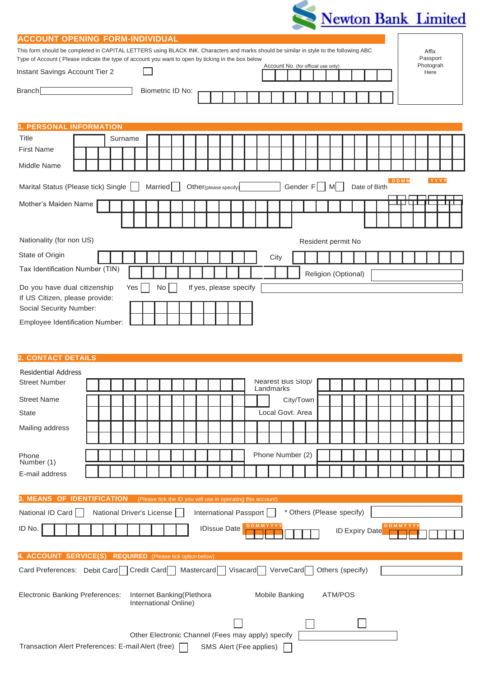

| <b>ACCOUNT OPENING FORM-INDIVIDUAL</b><br>This form should be completed in CAPITAL LETTERS using BLACK INK. Characters and marks should be similar in style to the following ABC |                                                                                                                                       |  |         |  |  |                           |  |  |  |  |  | Affix |  |  |                                                             |                  |  |                           |  |  |  |  |  |  |                       |  |  |
|----------------------------------------------------------------------------------------------------------------------------------------------------------------------------------|---------------------------------------------------------------------------------------------------------------------------------------|--|---------|--|--|---------------------------|--|--|--|--|--|-------|--|--|-------------------------------------------------------------|------------------|--|---------------------------|--|--|--|--|--|--|-----------------------|--|--|
| Type of Account (Please indicate the type of account you want to open by ticking in the box below                                                                                |                                                                                                                                       |  |         |  |  |                           |  |  |  |  |  |       |  |  |                                                             |                  |  |                           |  |  |  |  |  |  | Passport<br>Photograh |  |  |
| Account No. (for official use only)<br>Instant Savings Account Tier 2<br>Here                                                                                                    |                                                                                                                                       |  |         |  |  |                           |  |  |  |  |  |       |  |  |                                                             |                  |  |                           |  |  |  |  |  |  |                       |  |  |
| Branch[<br>Biometric ID No:                                                                                                                                                      |                                                                                                                                       |  |         |  |  |                           |  |  |  |  |  |       |  |  |                                                             |                  |  |                           |  |  |  |  |  |  |                       |  |  |
|                                                                                                                                                                                  |                                                                                                                                       |  |         |  |  |                           |  |  |  |  |  |       |  |  |                                                             |                  |  |                           |  |  |  |  |  |  |                       |  |  |
| 1. PERSONAL INFORMATION                                                                                                                                                          |                                                                                                                                       |  |         |  |  |                           |  |  |  |  |  |       |  |  |                                                             |                  |  |                           |  |  |  |  |  |  |                       |  |  |
| <b>Title</b>                                                                                                                                                                     |                                                                                                                                       |  | Surname |  |  |                           |  |  |  |  |  |       |  |  |                                                             |                  |  |                           |  |  |  |  |  |  |                       |  |  |
| <b>First Name</b>                                                                                                                                                                |                                                                                                                                       |  |         |  |  |                           |  |  |  |  |  |       |  |  |                                                             |                  |  |                           |  |  |  |  |  |  |                       |  |  |
| Middle Name                                                                                                                                                                      |                                                                                                                                       |  |         |  |  |                           |  |  |  |  |  |       |  |  |                                                             |                  |  |                           |  |  |  |  |  |  |                       |  |  |
|                                                                                                                                                                                  | <b>DDMM</b><br>YYYY<br>Gender $F$  <br>Married<br>Marital Status (Please tick) Single<br>M<br>Date of Birth<br>Other (please specify) |  |         |  |  |                           |  |  |  |  |  |       |  |  |                                                             |                  |  |                           |  |  |  |  |  |  |                       |  |  |
| Mother's Maiden Name                                                                                                                                                             |                                                                                                                                       |  |         |  |  |                           |  |  |  |  |  |       |  |  |                                                             |                  |  |                           |  |  |  |  |  |  |                       |  |  |
|                                                                                                                                                                                  |                                                                                                                                       |  |         |  |  |                           |  |  |  |  |  |       |  |  |                                                             |                  |  |                           |  |  |  |  |  |  |                       |  |  |
|                                                                                                                                                                                  |                                                                                                                                       |  |         |  |  |                           |  |  |  |  |  |       |  |  |                                                             |                  |  |                           |  |  |  |  |  |  |                       |  |  |
| Nationality (for non US)<br>Resident permit No                                                                                                                                   |                                                                                                                                       |  |         |  |  |                           |  |  |  |  |  |       |  |  |                                                             |                  |  |                           |  |  |  |  |  |  |                       |  |  |
| State of Origin                                                                                                                                                                  |                                                                                                                                       |  |         |  |  |                           |  |  |  |  |  |       |  |  |                                                             | City             |  |                           |  |  |  |  |  |  |                       |  |  |
| Tax Identification Number (TIN)<br>Religion (Optional)                                                                                                                           |                                                                                                                                       |  |         |  |  |                           |  |  |  |  |  |       |  |  |                                                             |                  |  |                           |  |  |  |  |  |  |                       |  |  |
| Do you have dual citizenship<br>If yes, please specify<br>Yes<br>No                                                                                                              |                                                                                                                                       |  |         |  |  |                           |  |  |  |  |  |       |  |  |                                                             |                  |  |                           |  |  |  |  |  |  |                       |  |  |
| If US Citizen, please provide:                                                                                                                                                   |                                                                                                                                       |  |         |  |  |                           |  |  |  |  |  |       |  |  |                                                             |                  |  |                           |  |  |  |  |  |  |                       |  |  |
| Social Security Number:                                                                                                                                                          |                                                                                                                                       |  |         |  |  |                           |  |  |  |  |  |       |  |  |                                                             |                  |  |                           |  |  |  |  |  |  |                       |  |  |
| <b>Employee Identification Number:</b>                                                                                                                                           |                                                                                                                                       |  |         |  |  |                           |  |  |  |  |  |       |  |  |                                                             |                  |  |                           |  |  |  |  |  |  |                       |  |  |
|                                                                                                                                                                                  |                                                                                                                                       |  |         |  |  |                           |  |  |  |  |  |       |  |  |                                                             |                  |  |                           |  |  |  |  |  |  |                       |  |  |
| 2. CONTACT DETAILS                                                                                                                                                               |                                                                                                                                       |  |         |  |  |                           |  |  |  |  |  |       |  |  |                                                             |                  |  |                           |  |  |  |  |  |  |                       |  |  |
| <b>Residential Address</b>                                                                                                                                                       |                                                                                                                                       |  |         |  |  |                           |  |  |  |  |  |       |  |  |                                                             |                  |  |                           |  |  |  |  |  |  |                       |  |  |
| <b>Street Number</b>                                                                                                                                                             |                                                                                                                                       |  |         |  |  |                           |  |  |  |  |  |       |  |  | Nearest Bus Stop/                                           | Landmarks        |  |                           |  |  |  |  |  |  |                       |  |  |
| <b>Street Name</b>                                                                                                                                                               |                                                                                                                                       |  |         |  |  |                           |  |  |  |  |  |       |  |  |                                                             |                  |  | City/Town                 |  |  |  |  |  |  |                       |  |  |
| <b>State</b>                                                                                                                                                                     |                                                                                                                                       |  |         |  |  |                           |  |  |  |  |  |       |  |  |                                                             | Local Govt. Area |  |                           |  |  |  |  |  |  |                       |  |  |
| Mailing address                                                                                                                                                                  |                                                                                                                                       |  |         |  |  |                           |  |  |  |  |  |       |  |  |                                                             |                  |  |                           |  |  |  |  |  |  |                       |  |  |
|                                                                                                                                                                                  |                                                                                                                                       |  |         |  |  |                           |  |  |  |  |  |       |  |  |                                                             |                  |  |                           |  |  |  |  |  |  |                       |  |  |
| Phone<br>Number (1)                                                                                                                                                              |                                                                                                                                       |  |         |  |  |                           |  |  |  |  |  |       |  |  | Phone Number (2)                                            |                  |  |                           |  |  |  |  |  |  |                       |  |  |
| E-mail address                                                                                                                                                                   |                                                                                                                                       |  |         |  |  |                           |  |  |  |  |  |       |  |  |                                                             |                  |  |                           |  |  |  |  |  |  |                       |  |  |
|                                                                                                                                                                                  |                                                                                                                                       |  |         |  |  |                           |  |  |  |  |  |       |  |  |                                                             |                  |  |                           |  |  |  |  |  |  |                       |  |  |
| 3. MEANS OF IDENTIFICATION                                                                                                                                                       |                                                                                                                                       |  |         |  |  |                           |  |  |  |  |  |       |  |  | (Please tick the ID you will use in operating this account) |                  |  |                           |  |  |  |  |  |  |                       |  |  |
| National ID Card                                                                                                                                                                 |                                                                                                                                       |  |         |  |  | National Driver's License |  |  |  |  |  |       |  |  | International Passport                                      |                  |  | * Others (Please specify) |  |  |  |  |  |  |                       |  |  |

| ID No.                                                                     | <b>IDIssue Date</b>                                 | DDMMYYYY                | <b>DDMMYYYY</b><br><b>ID Expiry Date</b> |
|----------------------------------------------------------------------------|-----------------------------------------------------|-------------------------|------------------------------------------|
| <b>4. ACCOUNT SERVICE(S)</b>                                               | <b>REQUIRED</b> (Please tick option below)          |                         |                                          |
| Card Preferences: Debit Card Credit Card   Mastercard   Visacard VerveCard |                                                     |                         | Others (specify)                         |
| <b>Electronic Banking Preferences:</b>                                     | Internet Banking (Plethora<br>International Online) | Mobile Banking          | ATM/POS                                  |
|                                                                            |                                                     |                         |                                          |
|                                                                            | Other Electronic Channel (Fees may apply) specify   |                         |                                          |
| Transaction Alert Preferences: E-mail Alert (free)                         |                                                     | SMS Alert (Fee applies) |                                          |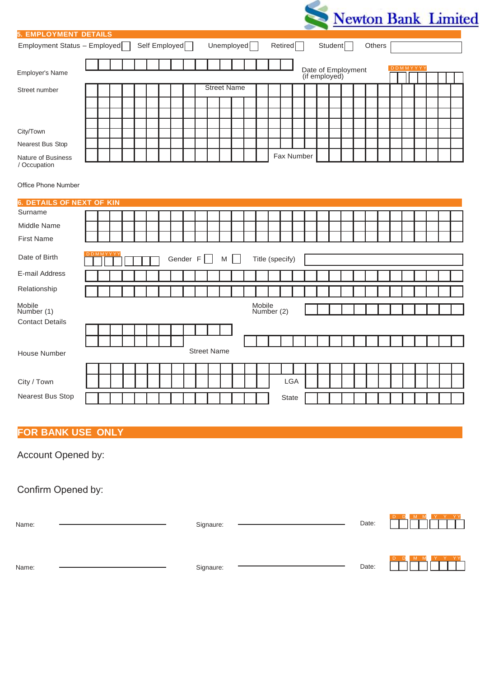

| <b>5. EMPLOYMENT DETAILS</b>       |          |  |  |                           |          |                    |   |                    |        |                 |            |  |                                     |                      |  |        |  |                 |  |  |
|------------------------------------|----------|--|--|---------------------------|----------|--------------------|---|--------------------|--------|-----------------|------------|--|-------------------------------------|----------------------|--|--------|--|-----------------|--|--|
| Employment Status - Employed       |          |  |  | Self Employed <sup></sup> |          |                    |   | Unemployed $\Box$  |        |                 | Retired    |  |                                     | Student <sub>[</sub> |  | Others |  |                 |  |  |
| Employer's Name                    |          |  |  |                           |          |                    |   |                    |        |                 |            |  | Date of Employment<br>(if employed) |                      |  |        |  | <b>DDMMYYYY</b> |  |  |
| Street number                      |          |  |  |                           |          |                    |   | <b>Street Name</b> |        |                 |            |  |                                     |                      |  |        |  |                 |  |  |
|                                    |          |  |  |                           |          |                    |   |                    |        |                 |            |  |                                     |                      |  |        |  |                 |  |  |
|                                    |          |  |  |                           |          |                    |   |                    |        |                 |            |  |                                     |                      |  |        |  |                 |  |  |
| City/Town                          |          |  |  |                           |          |                    |   |                    |        |                 |            |  |                                     |                      |  |        |  |                 |  |  |
| Nearest Bus Stop                   |          |  |  |                           |          |                    |   |                    |        |                 |            |  |                                     |                      |  |        |  |                 |  |  |
| Nature of Business<br>/ Occupation |          |  |  |                           |          |                    |   |                    |        |                 | Fax Number |  |                                     |                      |  |        |  |                 |  |  |
| Office Phone Number                |          |  |  |                           |          |                    |   |                    |        |                 |            |  |                                     |                      |  |        |  |                 |  |  |
| <b>6. DETAILS OF NEXT OF KIN</b>   |          |  |  |                           |          |                    |   |                    |        |                 |            |  |                                     |                      |  |        |  |                 |  |  |
| Surname                            |          |  |  |                           |          |                    |   |                    |        |                 |            |  |                                     |                      |  |        |  |                 |  |  |
| Middle Name                        |          |  |  |                           |          |                    |   |                    |        |                 |            |  |                                     |                      |  |        |  |                 |  |  |
| <b>First Name</b>                  |          |  |  |                           |          |                    |   |                    |        |                 |            |  |                                     |                      |  |        |  |                 |  |  |
| Date of Birth                      | DDMMYYY' |  |  |                           | Gender F |                    | M |                    |        | Title (specify) |            |  |                                     |                      |  |        |  |                 |  |  |
| E-mail Address                     |          |  |  |                           |          |                    |   |                    |        |                 |            |  |                                     |                      |  |        |  |                 |  |  |
| Relationship                       |          |  |  |                           |          |                    |   |                    |        |                 |            |  |                                     |                      |  |        |  |                 |  |  |
| Mobile<br>Number (1)               |          |  |  |                           |          |                    |   |                    | Mobile | Number (2)      |            |  |                                     |                      |  |        |  |                 |  |  |
| <b>Contact Details</b>             |          |  |  |                           |          |                    |   |                    |        |                 |            |  |                                     |                      |  |        |  |                 |  |  |
|                                    |          |  |  |                           |          |                    |   |                    |        |                 |            |  |                                     |                      |  |        |  |                 |  |  |
| <b>House Number</b>                |          |  |  |                           |          | <b>Street Name</b> |   |                    |        |                 |            |  |                                     |                      |  |        |  |                 |  |  |
|                                    |          |  |  |                           |          |                    |   |                    |        |                 |            |  |                                     |                      |  |        |  |                 |  |  |
| City / Town                        |          |  |  |                           |          |                    |   |                    |        |                 | LGA        |  |                                     |                      |  |        |  |                 |  |  |
| Nearest Bus Stop                   |          |  |  |                           |          |                    |   |                    |        |                 | State      |  |                                     |                      |  |        |  |                 |  |  |

# **FOR BANK USE ONLY**

Account Opened by:

Confirm Opened by:

| Name: | Signaure: | Date: | D<br>M<br>D.                         |
|-------|-----------|-------|--------------------------------------|
| Name: | Signaure: | Date: | D.<br>Y YY<br>M M<br><b>D</b><br>- 3 |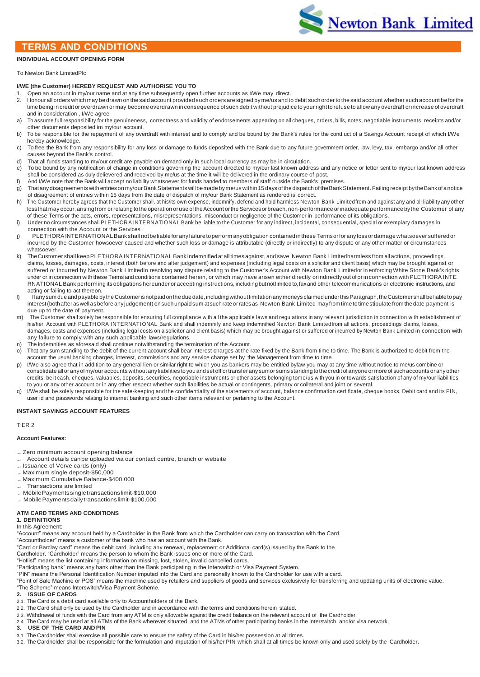# **TERMS AND CONDITIONS**

#### **INDIVIDUAL ACCOUNT OPENING FORM**

### To Newton Bank LimitedPlc

#### **I/WE (the Customer) HEREBY REQUEST AND AUTHORISE YOU TO**

- 1. Open an account in my/our name and at any time subsequently open further accounts as I/We may direct.
- 2. Honour all orders which may be drawn on the said account provided such orders are signed by me/us and to debit such order to the said account whether such account be for the timebeing in credit or overdrawn or may become overdrawn in consequence of such debit without prejudice to your right to refuse to allow any overdraft orincrease of overdraft and in consideration , I/We agree
- a) To assume full responsibility for the genuineness, correctness and validity of endorsements appearing on all cheques, orders, bills, notes, negotiable instruments, receipts and/or other documents deposited im my/our account.
- b) To be responsible for the repayment of any overdraft with interest and to comply and be bound by the Bank's rules for the cond uct of a Savings Account receipt of which I/We hereby acknowledge.
- c) To free the Bank from any responsibility for any loss or damage to funds deposited with the Bank due to any future government order, law, levy, tax, embargo and/or all other causes beyond the Bank's control.
- d) That all funds standing to my/our credit are payable on demand only in such local currency as may be in circulation.
- e) To be bound by any notification of change in conditions governing the account directed to my/our last known address and any notice or letter sent to my/our last known address shall be considered as duly delievered and received by me/us at the time it will be delivered in the ordinary course of post.
- f) And I/We note that the Bank will accept no liability whatsoever for funds handed to members of staff outside the Bank's premises. g) Thatanydisagreements with entrieson my/ourBankStatements will bemade byme/us within 15 days ofthe dispatch of theBankStatement. Failing receipt bytheBank ofanotice of disagreement of entries within 15 days from the date of dispatch of my/our Bank Statement as rendered is correct.
- h) The Customer hereby agrees that the Customer shall, at his/its own expense, indemnify, defend and hold harmless Newton Bank Limitedfrom and against any and all liabilityany other lossthat may occur, arising from or relating to the operation or use of the Account or the Services or breach, non-performance or inadequate performance by the Customer of any of these Terms or the acts, errors, representations, misrepresentations, misconduct or negligence of the Customer in performance of its obligations.
- i) Under no circumstances shall PLETHORA INTERN ATIONAL Bank be liable to the Customer for any indirect, incidental, consequential, special or exemplary damages in connection with the Account or the Services.
- PLETHORA INTERNATIONAL Bank shall not be liable for any failure to perform any obligation contained in these Terms or for any loss or damage what soever suffered or incurred by the Customer howsoever caused and whether such loss or damage is attributable (directly or indirectly) to any dispute or any other matter or circumstances whatsoever.
- The Customer shall keep PLETHORA INTERNATIONAL Bank indemnified at all times against, and save Newton Bank Limitedharmless from all actions, proceedings, claims, losses, damages, costs, interest (both before and after judgement) and expenses (including legal costs on a solicitor and client basis) which may be brought against or suffered or incurred by Newton Bank Limitedin resolving any dispute relating to the Customer's Account with Newton Bank Limitedor in enforcing White Stone Bank's rights under or in connection with these Terms and conditions contained herein, or which may have arisen either directly or indirectly out of or in connection with PLETHORA INTE RNATIONAL Bank performing its obligations hereunder or accepting instructions, including but not limited to, fax and other telecommunications or electronic instructions, and acting or failing to act thereon.
- Ifanysum due and payable by the Customer is not paid on the due date, including without limitation any moneys claimed under this Paragraph, the Customer shall be liable to pay interest (both after as well as before any judgement) on such unpaid sum at such rate or rates as Newton Bank Limited may from time to time stipulate from the date payment is due up to the date of payment.
- m) The Customer shall solely be responsible for ensuring full compliance with all the applicable laws and regulations in any relevant jurisdiction in connection with establishment of his/her Account with PLETHORA INTERNATIONAL Bank and shall indemnify and keep indemnified Newton Bank Limitedfrom all actions, proceedings claims, losses, damages, costs and expenses (including legal costs on a solicitor and client basis) which may be brought against or suffered or incurred by Newton Bank Limited in connection with any failure to comply with any such applicable laws/regulations.
- n) The indemnities as aforesaid shall continue notwithstanding the termination of the Account.
- o) That any sum standing to the debit of the current account shall bear interest charges at the rate fixed by the Bank from time to time. The Bank is authorized to debit from the account the usual banking charges, interest, commissions and any service charge set by the Management from time to time.
- p) I/We also agree that in addition to any general lien or similar right to which you as bankers may be entitled bylaw you may at any time without notice to me/us combine or consolidate all oranyofmy/our accounts without anyliabilities toyouandsetoff ortransfer any sumor sums standing tothecredit ofanyone or more of suchaccounts or any other credits, be it cash, cheques, valuables, deposits, securities, negotiable instruments or other assets belonging tome/us with you in or towards satisfaction of any of my/our liabilities to you or any other account or in any other respect whether such liabilities be actual or contingents, primary or collateral and joint or several.
- q) I/We shall be solely responsible for the safe-keeping and the confidentiality of the statements of account, balance confirmation certificate, cheque books, Debit card and its PIN, user id and passwords relating to internet banking and such other items relevant or pertaining to the Account.

#### **INSTANT SAVINGS ACCOUNT FEATURES**

TIER 2:

#### **Account Features:**

Zero minimum account opening balance

- Account details canbe uploaded via our contact centre, branch or website
- $=$  Issuance of Verve cards (only)
- Maximum single deposit-\$50,000
- Maximum Cumulative Balance-\$400,000
- Transactions are limited
- MobilePaymentssingletransactionslimit-\$10,000
- MobilePaymentsdailytransactionslimit-\$100,000

## **ATM CARD TERMS AND CONDITIONS**

**1. DEFINITIONS** In this Agreement:

"Account" means any account held by a Cardholder in the Bank from which the Cardholder can carry on transaction with the Card.

"Accountholder" means a customer of the bank who has an account with the Bank.

"Card or Barclay card" means the debit card, including any renewal, replacement or Additional card(s) issued by the Bank to the

Cardholder. "Cardholder" means the person to whom the Bank issues one or more of the Card.

"Hotlist" means the list containing information on missing, lost, stolen, invalid cancelled cards. "Participating bank" means any bank other than the Bank participating in the Interswitch or Visa Payment System.

"PIN" means the Personal Identification Number imputed into the Card and personally known to the Cardholder for use with a card.

"Point of Sale Machine or POS" means the machine used by retailers and suppliers of goods and services exclusively for transferring and updating units of electronic value. "The Scheme" means Interswitch/Visa Payment Scheme.

**2. ISSUE OF CARDS**

- 2.1. The Card is a debit card available only to Accountholders of the Bank.
- 2.2. The Card shall only be used by the Cardholder and in accordance with the terms and conditions herein stated.
- 2.3. Withdrawal of funds with the Card from any ATM is only allowable against the credit balance on the relevant account of the Cardholder.
- 2.4. The Card may be used at all ATMs of the Bank wherever situated, and the ATMs of other participating banks in the interswitch and/or visa network.

#### **3. USE OF THE CARD AND PIN**

- 3.1. The Cardholder shall exercise all possible care to ensure the safety of the Card in his/her possession at all times.
- 3.2. The Cardholder shall be responsible for the formulation and imputation of his/her PIN which shall at all times be known only and used solely by the Cardholder.